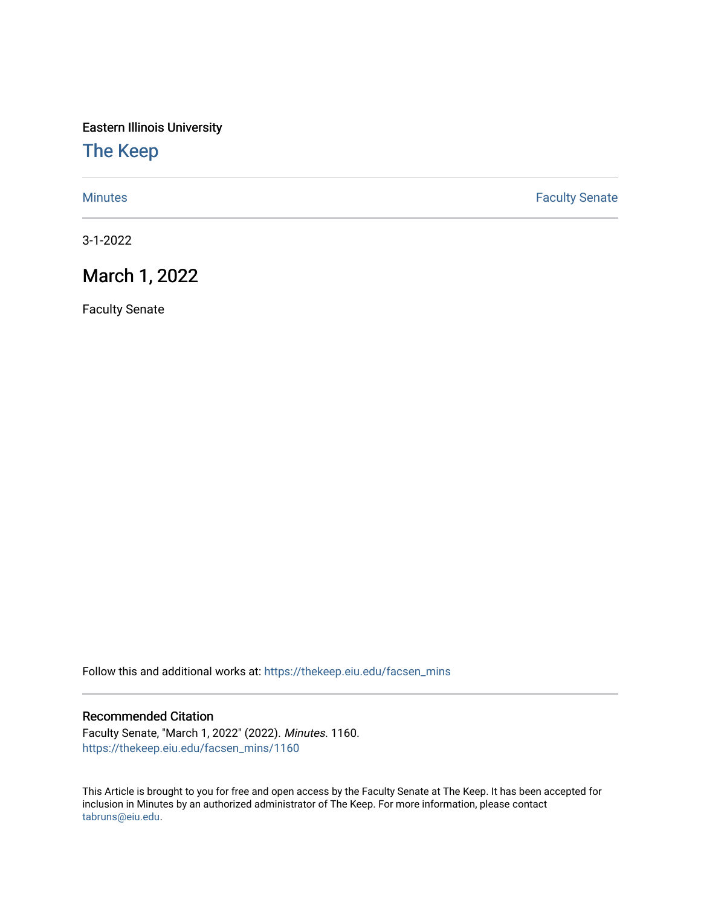Eastern Illinois University

## [The Keep](https://thekeep.eiu.edu/)

[Minutes](https://thekeep.eiu.edu/facsen_mins) **Faculty Senate** 

3-1-2022

# March 1, 2022

Faculty Senate

Follow this and additional works at: [https://thekeep.eiu.edu/facsen\\_mins](https://thekeep.eiu.edu/facsen_mins?utm_source=thekeep.eiu.edu%2Ffacsen_mins%2F1160&utm_medium=PDF&utm_campaign=PDFCoverPages) 

#### Recommended Citation

Faculty Senate, "March 1, 2022" (2022). Minutes. 1160. [https://thekeep.eiu.edu/facsen\\_mins/1160](https://thekeep.eiu.edu/facsen_mins/1160?utm_source=thekeep.eiu.edu%2Ffacsen_mins%2F1160&utm_medium=PDF&utm_campaign=PDFCoverPages) 

This Article is brought to you for free and open access by the Faculty Senate at The Keep. It has been accepted for inclusion in Minutes by an authorized administrator of The Keep. For more information, please contact [tabruns@eiu.edu.](mailto:tabruns@eiu.edu)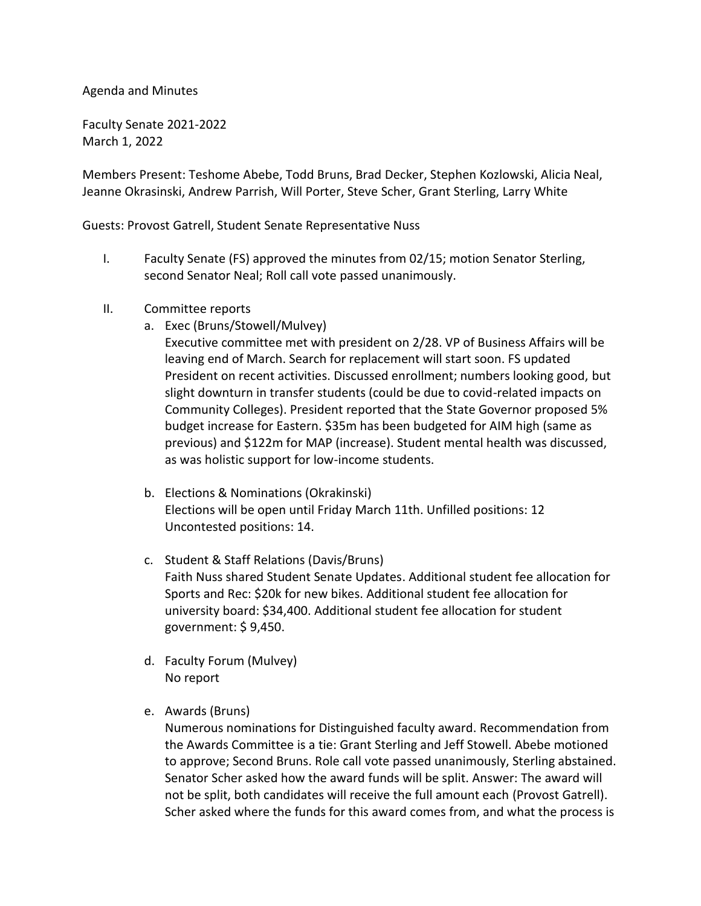### Agenda and Minutes

Faculty Senate 2021-2022 March 1, 2022

Members Present: Teshome Abebe, Todd Bruns, Brad Decker, Stephen Kozlowski, Alicia Neal, Jeanne Okrasinski, Andrew Parrish, Will Porter, Steve Scher, Grant Sterling, Larry White

Guests: Provost Gatrell, Student Senate Representative Nuss

- I. Faculty Senate (FS) approved the minutes from 02/15; motion Senator Sterling, second Senator Neal; Roll call vote passed unanimously.
- II. Committee reports
	- a. Exec (Bruns/Stowell/Mulvey)
		- Executive committee met with president on 2/28. VP of Business Affairs will be leaving end of March. Search for replacement will start soon. FS updated President on recent activities. Discussed enrollment; numbers looking good, but slight downturn in transfer students (could be due to covid-related impacts on Community Colleges). President reported that the State Governor proposed 5% budget increase for Eastern. \$35m has been budgeted for AIM high (same as previous) and \$122m for MAP (increase). Student mental health was discussed, as was holistic support for low-income students.
	- b. Elections & Nominations (Okrakinski) Elections will be open until Friday March 11th. Unfilled positions: 12 Uncontested positions: 14.
	- c. Student & Staff Relations (Davis/Bruns) Faith Nuss shared Student Senate Updates. Additional student fee allocation for Sports and Rec: \$20k for new bikes. Additional student fee allocation for university board: \$34,400. Additional student fee allocation for student government: \$ 9,450.
	- d. Faculty Forum (Mulvey) No report
	- e. Awards (Bruns)

Numerous nominations for Distinguished faculty award. Recommendation from the Awards Committee is a tie: Grant Sterling and Jeff Stowell. Abebe motioned to approve; Second Bruns. Role call vote passed unanimously, Sterling abstained. Senator Scher asked how the award funds will be split. Answer: The award will not be split, both candidates will receive the full amount each (Provost Gatrell). Scher asked where the funds for this award comes from, and what the process is